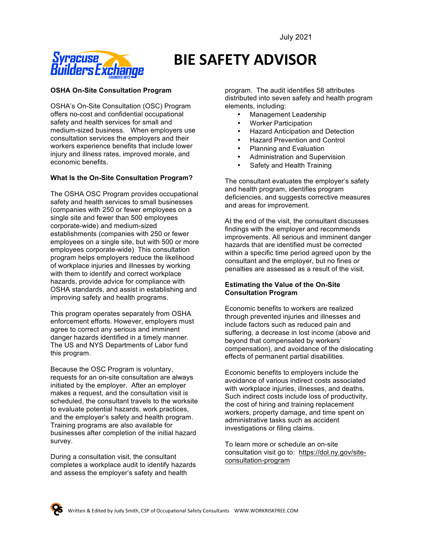

# **BIE SAFETY ADVISOR**

# **OSHA On-Site Consultation Program**

OSHA's On-Site Consultation (OSC) Program offers no-cost and confidential occupational safety and health services for small and medium-sized business. When employers use consultation services the employers and their workers experience benefits that include lower injury and illness rates, improved morale, and economic benefits.

# **What Is the On-Site Consultation Program?**

The OSHA OSC Program provides occupational safety and health services to small businesses (companies with 250 or fewer employees on a single site and fewer than 500 employees corporate-wide) and medium-sized establishments (companies with 250 or fewer employees on a single site, but with 500 or more employees corporate-wide) This consultation program helps employers reduce the likelihood of workplace injuries and illnesses by working with them to identify and correct workplace hazards, provide advice for compliance with OSHA standards, and assist in establishing and improving safety and health programs.

This program operates separately from OSHA enforcement efforts. However, employers must agree to correct any serious and imminent danger hazards identified in a timely manner. The US and NYS Departments of Labor fund this program.

Because the OSC Program is voluntary, requests for an on-site consultation are always initiated by the employer. After an employer makes a request, and the consultation visit is scheduled, the consultant travels to the worksite to evaluate potential hazards, work practices, and the employer's safety and health program. Training programs are also available for businesses after completion of the initial hazard survey.

During a consultation visit, the consultant completes a workplace audit to identify hazards and assess the employer's safety and health

program. The audit identifies 58 attributes distributed into seven safety and health program elements, including:

- Management Leadership
- Worker Participation
- Hazard Anticipation and Detection
- Hazard Prevention and Control
- Planning and Evaluation
- Administration and Supervision
- Safety and Health Training

The consultant evaluates the employer's safety and health program, identifies program deficiencies, and suggests corrective measures and areas for improvement.

At the end of the visit, the consultant discusses findings with the employer and recommends improvements. All serious and imminent danger hazards that are identified must be corrected within a specific time period agreed upon by the consultant and the employer, but no fines or penalties are assessed as a result of the visit.

# **Estimating the Value of the On-Site Consultation Program**

Economic benefits to workers are realized through prevented injuries and illnesses and include factors such as reduced pain and suffering, a decrease in lost income (above and beyond that compensated by workers' compensation), and avoidance of the dislocating effects of permanent partial disabilities.

Economic benefits to employers include the avoidance of various indirect costs associated with workplace injuries, illnesses, and deaths. Such indirect costs include loss of productivity, the cost of hiring and training replacement workers, property damage, and time spent on administrative tasks such as accident investigations or filing claims.

To learn more or schedule an on-site consultation visit go to: https://dol.ny.gov/siteconsultation-program